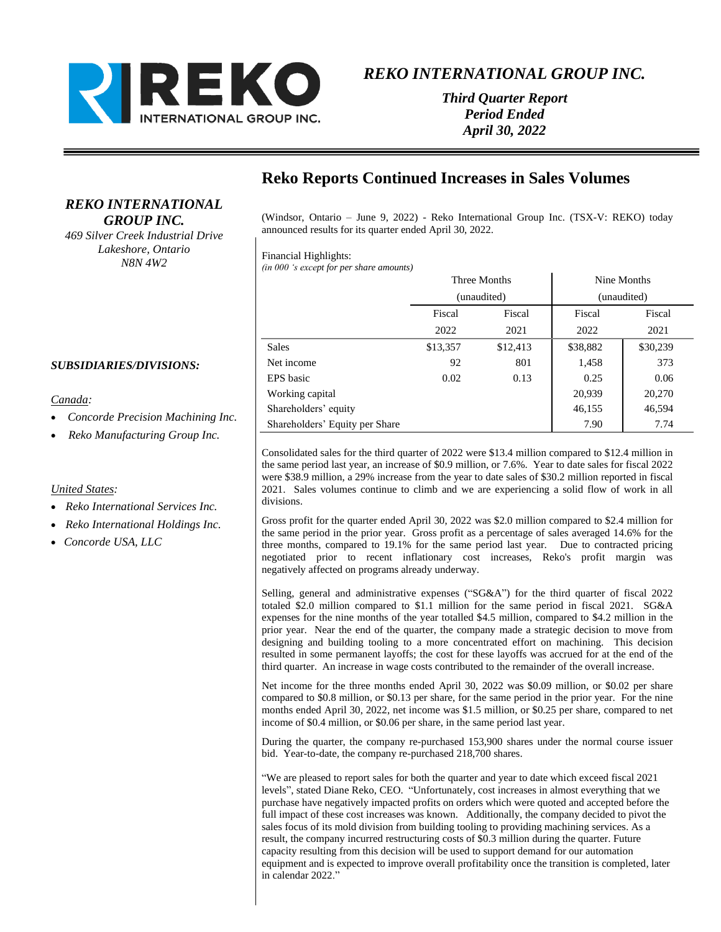

*Third Quarter Report Period Ended April 30, 2022*

# **Reko Reports Continued Increases in Sales Volumes**

(Windsor, Ontario – June 9, 2022) - Reko International Group Inc. (TSX-V: REKO) today announced results for its quarter ended April 30, 2022.

### Financial Highlights:

*(in 000 's except for per share amounts)*

|                                | Three Months<br>(unaudited) |          | Nine Months<br>(unaudited) |          |
|--------------------------------|-----------------------------|----------|----------------------------|----------|
|                                |                             |          |                            |          |
|                                | Fiscal                      | Fiscal   | Fiscal                     | Fiscal   |
|                                | 2022                        | 2021     | 2022                       | 2021     |
| <b>Sales</b>                   | \$13,357                    | \$12,413 | \$38,882                   | \$30,239 |
| Net income                     | 92                          | 801      | 1,458                      | 373      |
| EPS basic                      | 0.02                        | 0.13     | 0.25                       | 0.06     |
| Working capital                |                             |          | 20,939                     | 20,270   |
| Shareholders' equity           |                             |          | 46,155                     | 46,594   |
| Shareholders' Equity per Share |                             |          | 7.90                       | 7.74     |

Consolidated sales for the third quarter of 2022 were \$13.4 million compared to \$12.4 million in the same period last year, an increase of \$0.9 million, or 7.6%. Year to date sales for fiscal 2022 were \$38.9 million, a 29% increase from the year to date sales of \$30.2 million reported in fiscal 2021. Sales volumes continue to climb and we are experiencing a solid flow of work in all divisions.

Gross profit for the quarter ended April 30, 2022 was \$2.0 million compared to \$2.4 million for the same period in the prior year. Gross profit as a percentage of sales averaged 14.6% for the three months, compared to 19.1% for the same period last year. Due to contracted pricing negotiated prior to recent inflationary cost increases, Reko's profit margin was negatively affected on programs already underway.

Selling, general and administrative expenses ("SG&A") for the third quarter of fiscal 2022 totaled \$2.0 million compared to \$1.1 million for the same period in fiscal 2021. SG&A expenses for the nine months of the year totalled \$4.5 million, compared to \$4.2 million in the prior year. Near the end of the quarter, the company made a strategic decision to move from designing and building tooling to a more concentrated effort on machining. This decision resulted in some permanent layoffs; the cost for these layoffs was accrued for at the end of the third quarter. An increase in wage costs contributed to the remainder of the overall increase.

Net income for the three months ended April 30, 2022 was \$0.09 million, or \$0.02 per share compared to \$0.8 million, or \$0.13 per share, for the same period in the prior year. For the nine months ended April 30, 2022, net income was \$1.5 million, or \$0.25 per share, compared to net income of \$0.4 million, or \$0.06 per share, in the same period last year.

During the quarter, the company re-purchased 153,900 shares under the normal course issuer bid. Year-to-date, the company re-purchased 218,700 shares.

"We are pleased to report sales for both the quarter and year to date which exceed fiscal 2021 levels", stated Diane Reko, CEO. "Unfortunately, cost increases in almost everything that we purchase have negatively impacted profits on orders which were quoted and accepted before the full impact of these cost increases was known. Additionally, the company decided to pivot the sales focus of its mold division from building tooling to providing machining services. As a result, the company incurred restructuring costs of \$0.3 million during the quarter. Future capacity resulting from this decision will be used to support demand for our automation equipment and is expected to improve overall profitability once the transition is completed, later in calendar 2022."

### *SUBSIDIARIES/DIVISIONS:*

### *Canada:*

• *Concorde Precision Machining Inc.*

*REKO INTERNATIONAL GROUP INC. 469 Silver Creek Industrial Drive Lakeshore, Ontario N8N 4W2*

• *Reko Manufacturing Group Inc.*

### *United States:*

- *Reko International Services Inc.*
- *Reko International Holdings Inc.*
- *Concorde USA, LLC*